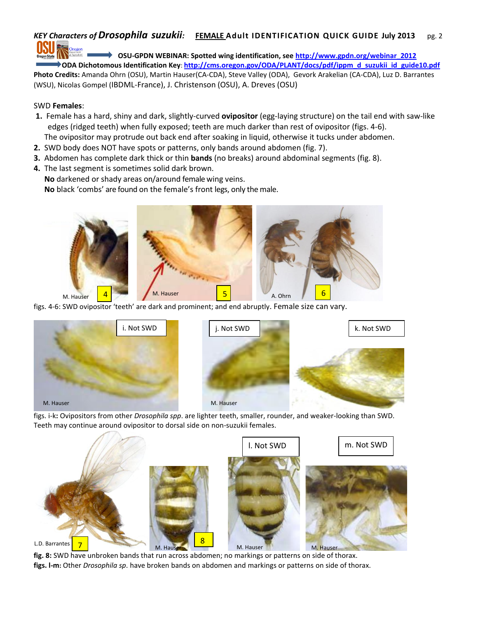## *KEY Characters of Drosophila suzukii:* **FEMALE Adult IDENTIFICATION QUICK GUIDE July 2013** pg. 2

**OSU-GPDN WEBINAR: Spotted wing identification, see [http://www.gpdn.org/webinar\\_2012](http://www.gpdn.org/webinar_2012) ODA Dichotomous Identification Key**: **[http://cms.oregon.gov/ODA/PLANT/docs/pdf/ippm\\_d\\_suzukii\\_id\\_guide10.pdf](http://cms.oregon.gov/ODA/PLANT/docs/pdf/ippm_d_suzukii_id_guide10.pdf) Photo Credits:** Amanda Ohrn (OSU), Martin Hauser(CA-CDA), Steve Valley (ODA), Gevork Arakelian (CA-CDA), Luz D. Barrantes (WSU), Nicolas Gompel (IBDML-France), J. Christenson (OSU), A. Dreves (OSU)

## SWD **Females**:

- **1.** Female has a hard, shiny and dark, slightly-curved **ovipositor** (egg-laying structure) on the tail end with saw-like edges (ridged teeth) when fully exposed; teeth are much darker than rest of ovipositor (figs. 4-6). The ovipositor may protrude out back end after soaking in liquid, otherwise it tucks under abdomen.
- **2.** SWD body does NOT have spots or patterns, only bands around abdomen (fig. 7).
- **3.** Abdomen has complete dark thick or thin **bands** (no breaks) around abdominal segments (fig. 8).
- **4.** The last segment is sometimes solid dark brown.

**No** darkened or shady areas on/around female wing veins.

**No** black 'combs' are found on the female's front legs, only the male.



figs. 4-6: SWD ovipositor 'teeth' are dark and prominent; and end abruptly. Female size can vary.



figs. i-k**:** Ovipositors from other *Drosophila spp*. are lighter teeth, smaller, rounder, and weaker-looking than SWD. Teeth may continue around ovipositor to dorsal side on non-suzukii females.



**fig. 8:** SWD have unbroken bands that run across abdomen; no markings or patterns on side of thorax. **figs. l-m:** Other *Drosophila sp*. have broken bands on abdomen and markings or patterns on side of thorax.